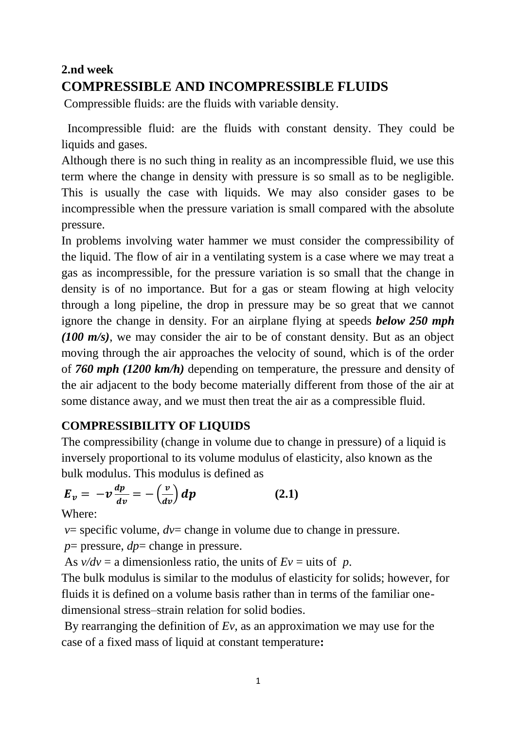# **2.nd week COMPRESSIBLE AND INCOMPRESSIBLE FLUIDS**

Compressible fluids: are the fluids with variable density.

 Incompressible fluid: are the fluids with constant density. They could be liquids and gases.

Although there is no such thing in reality as an incompressible fluid, we use this term where the change in density with pressure is so small as to be negligible. This is usually the case with liquids. We may also consider gases to be incompressible when the pressure variation is small compared with the absolute pressure.

In problems involving water hammer we must consider the compressibility of the liquid. The flow of air in a ventilating system is a case where we may treat a gas as incompressible, for the pressure variation is so small that the change in density is of no importance. But for a gas or steam flowing at high velocity through a long pipeline, the drop in pressure may be so great that we cannot ignore the change in density. For an airplane flying at speeds *below 250 mph (100 m/s)*, we may consider the air to be of constant density. But as an object moving through the air approaches the velocity of sound, which is of the order of *760 mph (1200 km/h)* depending on temperature, the pressure and density of the air adjacent to the body become materially different from those of the air at some distance away, and we must then treat the air as a compressible fluid.

## **COMPRESSIBILITY OF LIQUIDS**

The compressibility (change in volume due to change in pressure) of a liquid is inversely proportional to its volume modulus of elasticity, also known as the bulk modulus. This modulus is defined as

$$
E_v = -v\frac{dp}{dv} = -\left(\frac{v}{dv}\right)dp\tag{2.1}
$$

Where:

 $v=$  specific volume,  $dv=$  change in volume due to change in pressure.

 $p =$  pressure,  $dp =$  change in pressure.

As  $v/dv = a$  dimensionless ratio, the units of  $Ev = u$  its of p.

The bulk modulus is similar to the modulus of elasticity for solids; however, for fluids it is defined on a volume basis rather than in terms of the familiar onedimensional stress–strain relation for solid bodies.

By rearranging the definition of *Ev*, as an approximation we may use for the case of a fixed mass of liquid at constant temperature**:**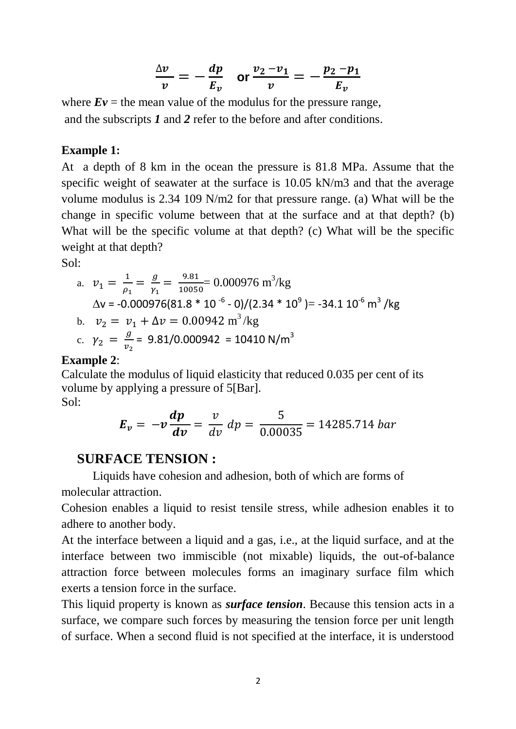$$
\frac{\Delta v}{v} = -\frac{dp}{E_v} \quad \text{or } \frac{v_2 - v_1}{v} = -\frac{p_2 - p_1}{E_v}
$$

where  $E\nu$  = the mean value of the modulus for the pressure range, and the subscripts *1* and *2* refer to the before and after conditions.

#### **Example 1:**

At a depth of 8 km in the ocean the pressure is 81.8 MPa. Assume that the specific weight of seawater at the surface is 10.05 kN/m3 and that the average volume modulus is 2.34 109 N/m2 for that pressure range. (a) What will be the change in specific volume between that at the surface and at that depth? (b) What will be the specific volume at that depth? (c) What will be the specific weight at that depth?

Sol:

a. 
$$
v_1 = \frac{1}{\rho_1} = \frac{g}{\gamma_1} = \frac{9.81}{10050} = 0.000976 \text{ m}^3/\text{kg}
$$
  
\n $\Delta v = -0.000976(81.8 * 10^{-6} - 0)/(2.34 * 10^9) = -34.1 10^{-6} \text{ m}^3/\text{kg}$   
\nb.  $v_2 = v_1 + \Delta v = 0.00942 \text{ m}^3/\text{kg}$   
\nc.  $\gamma_2 = \frac{g}{v_2} = 9.81/0.000942 = 10410 \text{ N/m}^3$ 

#### **Example 2**:

Calculate the modulus of liquid elasticity that reduced 0.035 per cent of its volume by applying a pressure of 5[Bar]. Sol:

$$
E_v = -v \frac{dp}{dv} = \frac{v}{dv} dp = \frac{5}{0.00035} = 14285.714 bar
$$

### **SURFACE TENSION :**

Liquids have cohesion and adhesion, both of which are forms of molecular attraction.

Cohesion enables a liquid to resist tensile stress, while adhesion enables it to adhere to another body.

At the interface between a liquid and a gas, i.e., at the liquid surface, and at the interface between two immiscible (not mixable) liquids, the out-of-balance attraction force between molecules forms an imaginary surface film which exerts a tension force in the surface.

This liquid property is known as *surface tension*. Because this tension acts in a surface, we compare such forces by measuring the tension force per unit length of surface. When a second fluid is not specified at the interface, it is understood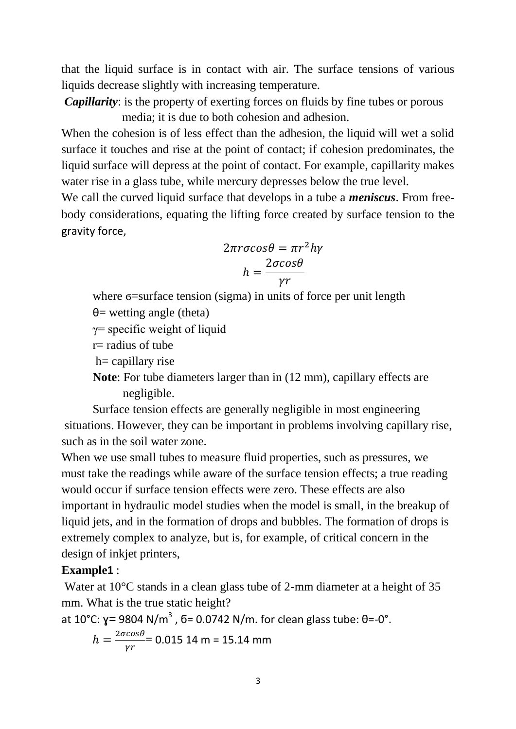that the liquid surface is in contact with air. The surface tensions of various liquids decrease slightly with increasing temperature.

*Capillarity*: is the property of exerting forces on fluids by fine tubes or porous media; it is due to both cohesion and adhesion.

When the cohesion is of less effect than the adhesion, the liquid will wet a solid surface it touches and rise at the point of contact; if cohesion predominates, the liquid surface will depress at the point of contact. For example, capillarity makes water rise in a glass tube, while mercury depresses below the true level.

We call the curved liquid surface that develops in a tube a *meniscus*. From freebody considerations, equating the lifting force created by surface tension to the gravity force,

$$
2\pi r \sigma \cos \theta = \pi r^2 h \gamma
$$

$$
h = \frac{2\sigma \cos \theta}{\gamma r}
$$

where σ=surface tension (sigma) in units of force per unit length

 $\theta$ = wetting angle (theta)

γ= specific weight of liquid

 $r=$  radius of tube

h= capillary rise

**Note**: For tube diameters larger than in (12 mm), capillary effects are negligible.

Surface tension effects are generally negligible in most engineering situations. However, they can be important in problems involving capillary rise, such as in the soil water zone.

When we use small tubes to measure fluid properties, such as pressures, we must take the readings while aware of the surface tension effects; a true reading would occur if surface tension effects were zero. These effects are also important in hydraulic model studies when the model is small, in the breakup of liquid jets, and in the formation of drops and bubbles. The formation of drops is extremely complex to analyze, but is, for example, of critical concern in the design of inkjet printers,

### **Example1** :

Water at 10<sup>o</sup>C stands in a clean glass tube of 2-mm diameter at a height of 35 mm. What is the true static height?

at 10°C:  $\gamma$ = 9804 N/m<sup>3</sup> , 6= 0.0742 N/m. for clean glass tube: θ=-0°.

$$
h = \frac{2\sigma cos\theta}{\gamma r} = 0.015 \, \text{14 m} = 15.14 \, \text{mm}
$$